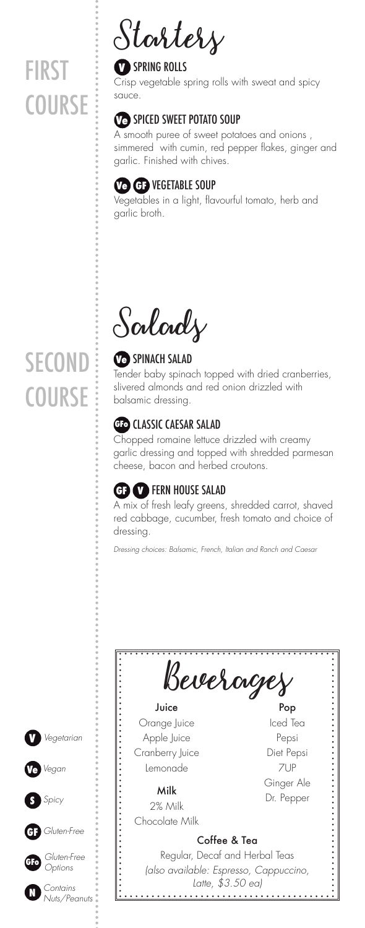## **FIRST COURSE**

**Starters**

#### **V** SPRING ROLLS

Crisp vegetable spring rolls with sweat and spicy sauce.

### **Ve** SPICED SWEET POTATO SOUP

A smooth puree of sweet potatoes and onions , simmered with cumin, red pepper flakes, ginger and garlic. Finished with chives.

### **Ve GF** VEGETABLE SOUP

Vegetables in a light, flavourful tomato, herb and garlic broth.

**Salads**

## **Ve** SPINACH SALAD

Tender baby spinach topped with dried cranberries, slivered almonds and red onion drizzled with balsamic dressing.

## **GFo** CLASSIC CAESAR SALAD

Chopped romaine lettuce drizzled with creamy garlic dressing and topped with shredded parmesan cheese, bacon and herbed croutons.

## **GF V** FERN HOUSE SALAD

A mix of fresh leafy greens, shredded carrot, shaved red cabbage, cucumber, fresh tomato and choice of dressing.

*Dressing choices: Balsamic, French, Italian and Ranch and Caesar*



## **SECOND COURSE**

**V**

**GF**

**S**

**GFo**

**N**

**Ve** *Vegan*

*Spicy*

*Gluten-Free*

*Gluten-Free Options*

*Contains Nuts/Peanuts*

*Vegetarian*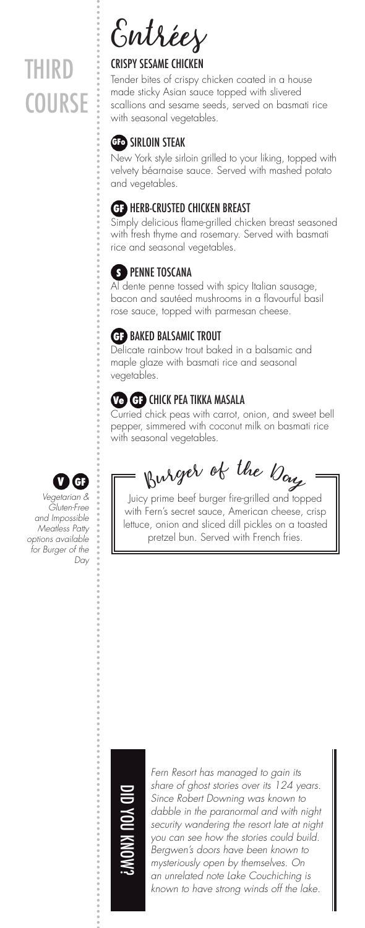# THIRD **COURSE**

**Entrées**

#### CRISPY SESAME CHICKEN

Tender bites of crispy chicken coated in a house made sticky Asian sauce topped with slivered scallions and sesame seeds, served on basmati rice with seasonal vegetables.

#### **GFo** SIRLOIN STEAK

New York style sirloin grilled to your liking, topped with velvety béarnaise sauce. Served with mashed potato and vegetables.

#### **GF** HERB-CRUSTED CHICKEN BREAST

Simply delicious flame-grilled chicken breast seasoned with fresh thyme and rosemary. Served with basmati rice and seasonal vegetables.

#### **S** PENNE TOSCANA

Al dente penne tossed with spicy Italian sausage, bacon and sautéed mushrooms in a flavourful basil rose sauce, topped with parmesan cheese.

#### **GF** BAKED BALSAMIC TROUT

Delicate rainbow trout baked in a balsamic and maple glaze with basmati rice and seasonal vegetables.

#### **Ve GF** CHICK PEA TIKKA MASALA

Curried chick peas with carrot, onion, and sweet bell pepper, simmered with coconut milk on basmati rice with seasonal vegetables.

*Vegetarian & Gluten-Free and Impossible Meatless Patty options available for Burger of the* 

*Day*

 $\bullet$  **G**  $\bullet$  **Burger** of the  $\mathcal{D}_{\alpha\alpha}$ 

Juicy prime beef burger fire-grilled and topped with Fern's secret sauce, American cheese, crisp lettuce, onion and sliced dill pickles on a toasted pretzel bun. Served with French fries.



*Fern Resort has managed to gain its share of ghost stories over its 124 years. Since Robert Downing was known to dabble in the paranormal and with night security wandering the resort late at night you can see how the stories could build. Bergwen's doors have been known to mysteriously open by themselves. On an unrelated note Lake Couchiching is known to have strong winds off the lake.*